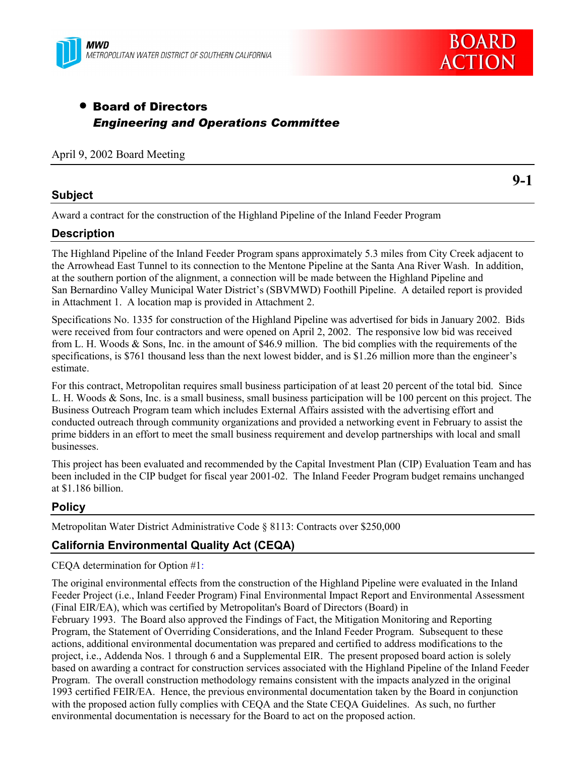



# • Board of Directors *Engineering and Operations Committee*

#### April 9, 2002 Board Meeting

#### **Subject**

**9-1**

Award a contract for the construction of the Highland Pipeline of the Inland Feeder Program

#### **Description**

The Highland Pipeline of the Inland Feeder Program spans approximately 5.3 miles from City Creek adjacent to the Arrowhead East Tunnel to its connection to the Mentone Pipeline at the Santa Ana River Wash. In addition, at the southern portion of the alignment, a connection will be made between the Highland Pipeline and San Bernardino Valley Municipal Water District's (SBVMWD) Foothill Pipeline. A detailed report is provided in Attachment 1.A location map is provided in Attachment 2.

Specifications No. 1335 for construction of the Highland Pipeline was advertised for bids in January 2002. Bids were received from four contractors and were opened on April 2, 2002. The responsive low bid was received from L. H. Woods & Sons, Inc. in the amount of \$46.9 million. The bid complies with the requirements of the specifications, is \$761 thousand less than the next lowest bidder, and is \$1.26 million more than the engineer's estimate.

For this contract, Metropolitan requires small business participation of at least 20 percent of the total bid. Since L. H. Woods & Sons, Inc. is a small business, small business participation will be 100 percent on this project. The Business Outreach Program team which includes External Affairs assisted with the advertising effort and conducted outreach through community organizations and provided a networking event in February to assist the prime bidders in an effort to meet the small business requirement and develop partnerships with local and small businesses.

This project has been evaluated and recommended by the Capital Investment Plan (CIP) Evaluation Team and has been included in the CIP budget for fiscal year 2001-02. The Inland Feeder Program budget remains unchanged at \$1.186 billion.

# **Policy**

Metropolitan Water District Administrative Code ß 8113: Contracts over \$250,000

# **California Environmental Quality Act (CEQA)**

CEQA determination for Option #1:

The original environmental effects from the construction of the Highland Pipeline were evaluated in the Inland Feeder Project (i.e., Inland Feeder Program) Final Environmental Impact Report and Environmental Assessment (Final EIR/EA), which was certified by Metropolitan's Board of Directors (Board) in

February 1993. The Board also approved the Findings of Fact, the Mitigation Monitoring and Reporting Program, the Statement of Overriding Considerations, and the Inland Feeder Program. Subsequent to these actions, additional environmental documentation was prepared and certified to address modifications to the project, i.e., Addenda Nos. 1 through 6 and a Supplemental EIR. The present proposed board action is solely based on awarding a contract for construction services associated with the Highland Pipeline of the Inland Feeder Program. The overall construction methodology remains consistent with the impacts analyzed in the original 1993 certified FEIR/EA. Hence, the previous environmental documentation taken by the Board in conjunction with the proposed action fully complies with CEQA and the State CEQA Guidelines. As such, no further environmental documentation is necessary for the Board to act on the proposed action.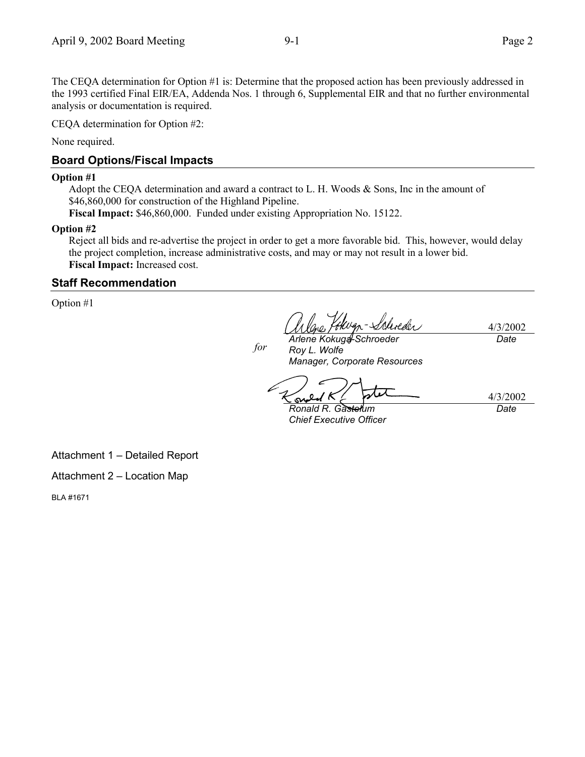The CEQA determination for Option #1 is: Determine that the proposed action has been previously addressed in the 1993 certified Final EIR/EA, Addenda Nos. 1 through 6, Supplemental EIR and that no further environmental analysis or documentation is required.

CEQA determination for Option #2:

None required.

#### **Board Options/Fiscal Impacts**

#### **Option #1**

Adopt the CEQA determination and award a contract to L. H. Woods & Sons, Inc in the amount of \$46,860,000 for construction of the Highland Pipeline.

**Fiscal Impact:** \$46,860,000. Funded under existing Appropriation No. 15122.

#### **Option #2**

Reject all bids and re-advertise the project in order to get a more favorable bid. This, however, would delay the project completion, increase administrative costs, and may or may not result in a lower bid. **Fiscal Impact:** Increased cost.

#### **Staff Recommendation**

Option #1

4/3/2002

*for*

*Arlene Kokuga-Schroeder Roy L. Wolfe Manager, Corporate Resources*

*Date*

*Ronald R. Gastelum*

*Chief Executive Officer*

4/3/2002 *Date*

Attachment 1 - Detailed Report

Attachment  $2 -$  Location Map

BLA #1671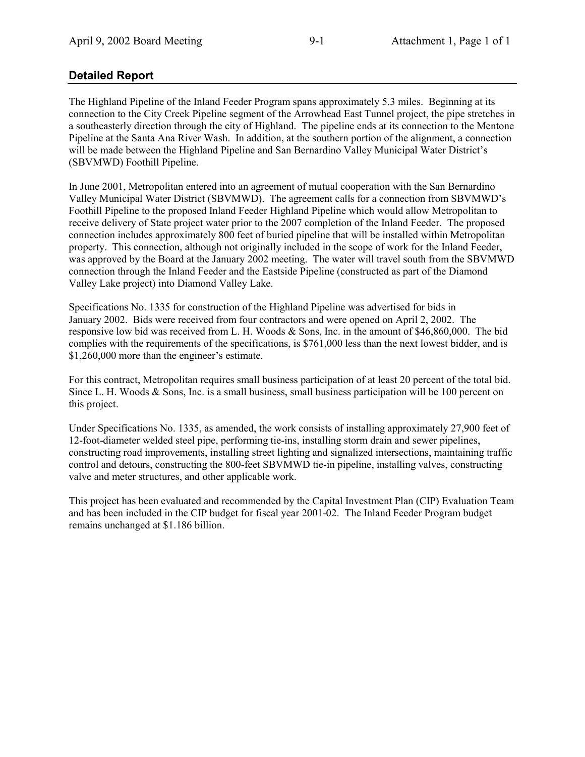# **Detailed Report**

The Highland Pipeline of the Inland Feeder Program spans approximately 5.3 miles. Beginning at its connection to the City Creek Pipeline segment of the Arrowhead East Tunnel project, the pipe stretches in a southeasterly direction through the city of Highland. The pipeline ends at its connection to the Mentone Pipeline at the Santa Ana River Wash. In addition, at the southern portion of the alignment, a connection will be made between the Highland Pipeline and San Bernardino Valley Municipal Water District's (SBVMWD) Foothill Pipeline.

In June 2001, Metropolitan entered into an agreement of mutual cooperation with the San Bernardino Valley Municipal Water District (SBVMWD). The agreement calls for a connection from SBVMWD's Foothill Pipeline to the proposed Inland Feeder Highland Pipeline which would allow Metropolitan to receive delivery of State project water prior to the 2007 completion of the Inland Feeder. The proposed connection includes approximately 800 feet of buried pipeline that will be installed within Metropolitan property. This connection, although not originally included in the scope of work for the Inland Feeder, was approved by the Board at the January 2002 meeting. The water will travel south from the SBVMWD connection through the Inland Feeder and the Eastside Pipeline (constructed as part of the Diamond Valley Lake project) into Diamond Valley Lake.

Specifications No. 1335 for construction of the Highland Pipeline was advertised for bids in January 2002. Bids were received from four contractors and were opened on April 2, 2002. The responsive low bid was received from L. H. Woods & Sons, Inc. in the amount of \$46,860,000. The bid complies with the requirements of the specifications, is \$761,000 less than the next lowest bidder, and is  $$1,260,000$  more than the engineer's estimate.

For this contract, Metropolitan requires small business participation of at least 20 percent of the total bid. Since L. H. Woods  $\&$  Sons, Inc. is a small business, small business participation will be 100 percent on this project.

Under Specifications No. 1335, as amended, the work consists of installing approximately 27,900 feet of 12-foot-diameter welded steel pipe, performing tie-ins, installing storm drain and sewer pipelines, constructing road improvements, installing street lighting and signalized intersections, maintaining traffic control and detours, constructing the 800-feet SBVMWD tie-in pipeline, installing valves, constructing valve and meter structures, and other applicable work.

This project has been evaluated and recommended by the Capital Investment Plan (CIP) Evaluation Team and has been included in the CIP budget for fiscal year 2001-02. The Inland Feeder Program budget remains unchanged at \$1.186 billion.